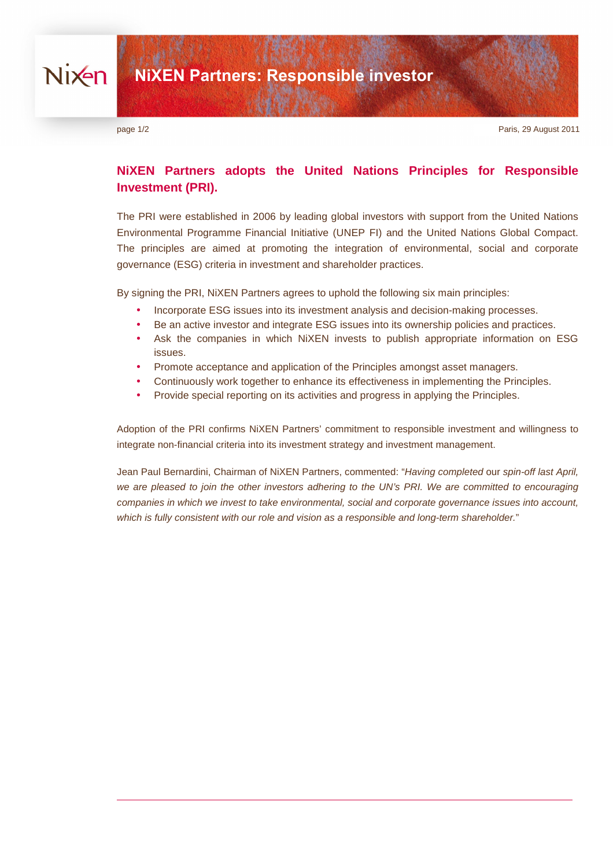page 1/2 Paris, 29 August 2011

# **NiXEN Partners adopts the United Nations Principles for Responsible Investment (PRI).**

The PRI were established in 2006 by leading global investors with support from the United Nations Environmental Programme Financial Initiative (UNEP FI) and the United Nations Global Compact. The principles are aimed at promoting the integration of environmental, social and corporate governance (ESG) criteria in investment and shareholder practices.

By signing the PRI, NiXEN Partners agrees to uphold the following six main principles:

- Incorporate ESG issues into its investment analysis and decision-making processes.
- Be an active investor and integrate ESG issues into its ownership policies and practices.
- Ask the companies in which NiXEN invests to publish appropriate information on ESG issues.
- Promote acceptance and application of the Principles amongst asset managers.
- Continuously work together to enhance its effectiveness in implementing the Principles.
- Provide special reporting on its activities and progress in applying the Principles.

Adoption of the PRI confirms NiXEN Partners' commitment to responsible investment and willingness to integrate non-financial criteria into its investment strategy and investment management.

Jean Paul Bernardini, Chairman of NiXEN Partners, commented: "Having completed our spin-off last April, we are pleased to join the other investors adhering to the UN's PRI. We are committed to encouraging companies in which we invest to take environmental, social and corporate governance issues into account, which is fully consistent with our role and vision as a responsible and long-term shareholder."